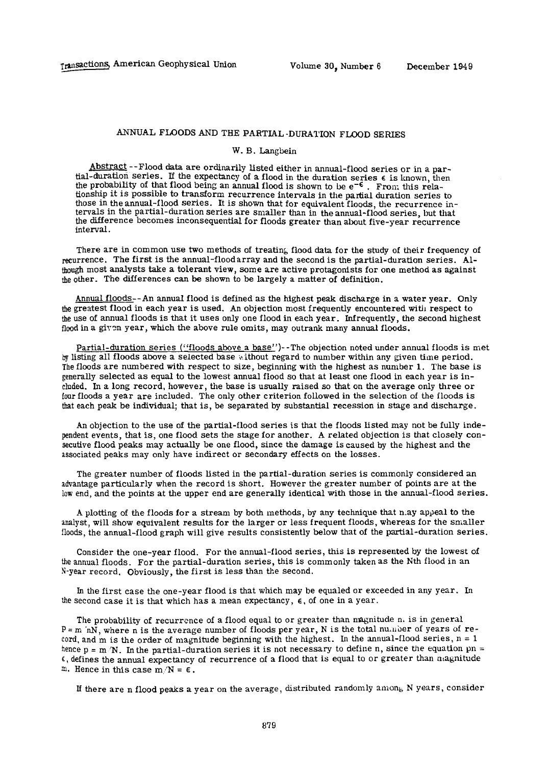## **ANNUAL** FLOODS AND THE PARTIAL -DURATION FLOOD SERIES

## W. B. Langbein

Abstract--Flood data are ordinarily listed either in annual-flood series or in a partial-duration series. If the expectancy of a flood in the duration series € **is** known, **then**  the probabiHty of that flood being an annual flood is shown to **be** e~€ . **From** this relationship **it** is possible to transform recurrence intervals in the partial duration series **to**  those in the annual-flood series. It is shown that for equivalent floods, **the** recurrence **in-**tervals in the partial-duration series are smaller than in the annual-flood **series,** but **that**  the difference becomes inconsequential for floods greater than about five-year recurrence interval.

There are in common use two methods of treating flood data for the study of their frequency **of**  recurrence. The first **is** the annual-floodarray and the second is the partial-duration series. **Al**though most analysts take a tolerant view, some are active protagonists for one method as against **lie** other. The differences can be shown to be largely a matter of definition.

Annual floods-**-An** annual flood is defined as the highest peak discharge **in** a water year. Only **ffee** greatest flood in each year is used. An objection most frequently encountered with respect to **iie** use of annual floods is that it uses only one flood in each year. Infrequently, the second highest flood in a given year, which the above rule omits, may outrank many annual floods.

Partial-duration series ("floods above a base")--The objection noted under **annual floods** is **met by** listing all floods above a selected base without regard to number within **any** given **time** period. The floods are numbered with respect to size, beginning with the highest as number 1. The base is generally selected as equal to the lowest annual flood so that at least one flood in each year **is in**cluded. In a long record, however, the base is usually raised so that on the average only **three** or four floods a year are included. The only other criterion followed **in** the selection of **the floods** is **Hat** each peak be individual; that is, be separated by substantial recession in stage and discharge.

**An** objection to the use of the partial-flood series is that the floods listed may **not** be fully **inde**pendent events, that **is,** one flood sets the stage for another. **A** related objection is that closely consecutive flood peaks may actually be one flood, since the damage is caused by the highest **and the**  associated peaks may only have indirect or secondary effects on the losses.

The greater number of floods Hsted in the partial-duration series is commonly considered **an**  advantage particularly when the record is short. However the greater number of points **are at the low end,** and the points at the upper end are generally identical with those in the **annual-flood** series.

**A** plotting of the floods for a stream by both methods, by any technique that **n**.ay **appeal** to **the**  analyst, will show equivalent results for the larger or less frequent floods, whereas **for** the smaller **Hoods,** the annual-flood graph will give results consistently below **that** of the partial-duration series.

Consider the one-year flood. For the annual-flood series, **this is** represented by **the lowest of**  the annual floods. For the partial-duration series, this **is** commonly taken **as** the **Nth flood in an**  N-year record. Obviously, the first is less than the second.

In the first case the one-year flood is that which may **be** equaled **or exceeded in any year. In**  the second case it is that which has a mean expectancy, €, **of** one in **a year.** 

The probability of recurrence of a flood equal **to** or greater **than** magnitude **n. is in general P =** m nN, where n is the average number of floods per **year, N is the** total number **of** years **of record,** and m is the order of magnitude beginning with the highest. **In** the annual-flood series, **n = 1**  hence **p = m/N.** In the partial-duration series it is not necessary **to define n, since the equation** pn = **C,** defines the annual expectancy **of** recurrence **of** a **flood that is equal** to **or greater than magnitude**  m. Hence in this case  $m/N = \epsilon$ .

If there are n flood peaks a year on the average, distributed randomly amon<sub>6</sub> N years, consider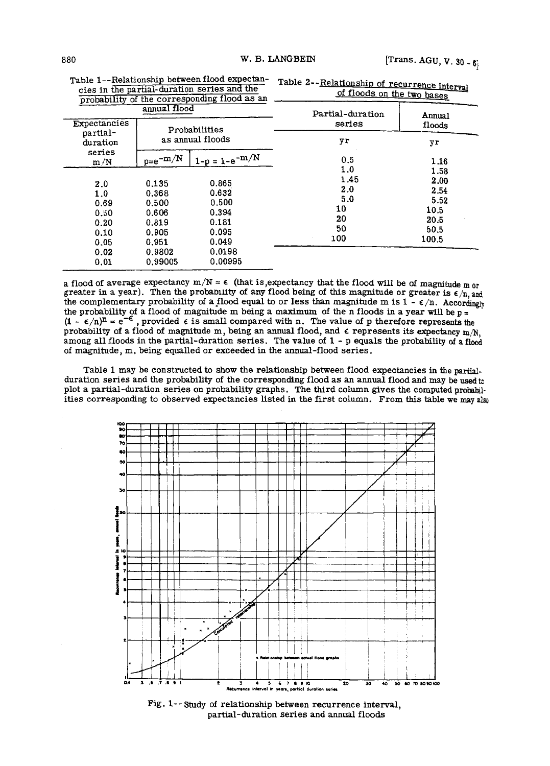| probability of the corresponding 11000 as an |                   |                    | -----            |        |
|----------------------------------------------|-------------------|--------------------|------------------|--------|
| annual flood                                 |                   |                    | Partial-duration | Annual |
| Expectancies<br>partial-                     |                   | Probabilities      | series           | floods |
| duration                                     | as annual floods  |                    | yr               | yr     |
| series<br>m/N                                | $_{\rm p=e}$ -m/N | $1-p = 1-e^{-m/N}$ | 0.5              | 1.16   |
|                                              |                   |                    | 1.0              | 1.58   |
| 2.0                                          | 0.135             | 0.865              | 1.45             | 2.00   |
| 1.0                                          | 0.368             | 0.632              | 2.0              | 2.54   |
| 0.69                                         | 0.500             | 0.500              | 5.0              | 5.52   |
| 0.50                                         | 0.606             | 0.394              | 10               | 10.5   |
| 0.20                                         | 0.819             | 0.181              | 20               | 20.5   |
| 0.10                                         | 0.905             | 0.095              | 50               | 50.5   |
| 0.05                                         | 0.951             | 0.049              | 100              | 100.5  |
| 0.02                                         | 0.9802            | 0.0198             |                  |        |
| 0.01                                         | 0.99005           | 0.00995            |                  |        |

**Table 1--Relationship between flood expectancies in the partial-duration series and the probability of the corresponding flood as an** 

Table 2--Relationship of recurrence interval of floods on the two bases

**a** flood of average expectancy  $m/N \approx \epsilon$  (that is, expectancy that the flood will be of magnitude m<sub>or</sub> greater in a year). Then the probability of any flood being of this magnitude or greater is  $\epsilon/n$ , and the complementary probability of a flood equal to or less than magnitude m is  $1 - \epsilon/n$ . Accordingly **the probability of a flood of magnitude m being a maximum of the n floods in a year will be p =**   $(1 - \epsilon/n)^n = e^{-\epsilon}$ , provided  $\epsilon$  is small compared with n. The value of p therefore represents the probability of a flood of magnitude m, being an annual flood, and  $\epsilon$  represents its expectancy m/N, **among all floods in the partial-duration series. The value of 1 - p equals the probability of a flood of magnitude, m, being equalled or exceeded in the annual-flood series.** 

**Table 1 may be constructed to show the relationship between flood expectancies in the partialduration series and the probability of the corresponding flood as an annual flood and may be used to plot a partial-duration series on probability graphs. The third column gives the computed probabilities corresponding to observed expectancies listed in the first column. From this table we may aim** 



**Fig. 1-- study of relationship between recurrence interval, partial-duration series and annual floods**